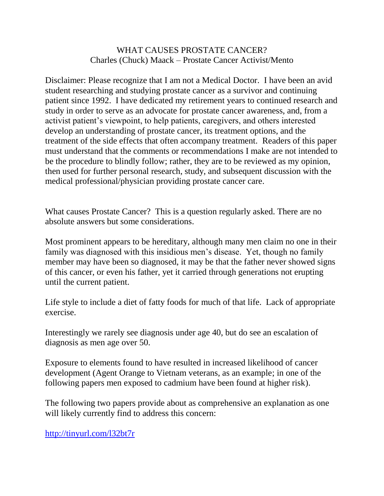## WHAT CAUSES PROSTATE CANCER? Charles (Chuck) Maack – Prostate Cancer Activist/Mento

Disclaimer: Please recognize that I am not a Medical Doctor. I have been an avid student researching and studying prostate cancer as a survivor and continuing patient since 1992. I have dedicated my retirement years to continued research and study in order to serve as an advocate for prostate cancer awareness, and, from a activist patient's viewpoint, to help patients, caregivers, and others interested develop an understanding of prostate cancer, its treatment options, and the treatment of the side effects that often accompany treatment. Readers of this paper must understand that the comments or recommendations I make are not intended to be the procedure to blindly follow; rather, they are to be reviewed as my opinion, then used for further personal research, study, and subsequent discussion with the medical professional/physician providing prostate cancer care.

What causes Prostate Cancer? This is a question regularly asked. There are no absolute answers but some considerations.

Most prominent appears to be hereditary, although many men claim no one in their family was diagnosed with this insidious men's disease. Yet, though no family member may have been so diagnosed, it may be that the father never showed signs of this cancer, or even his father, yet it carried through generations not erupting until the current patient.

Life style to include a diet of fatty foods for much of that life. Lack of appropriate exercise.

Interestingly we rarely see diagnosis under age 40, but do see an escalation of diagnosis as men age over 50.

Exposure to elements found to have resulted in increased likelihood of cancer development (Agent Orange to Vietnam veterans, as an example; in one of the following papers men exposed to cadmium have been found at higher risk).

The following two papers provide about as comprehensive an explanation as one will likely currently find to address this concern:

<http://tinyurl.com/l32bt7r>